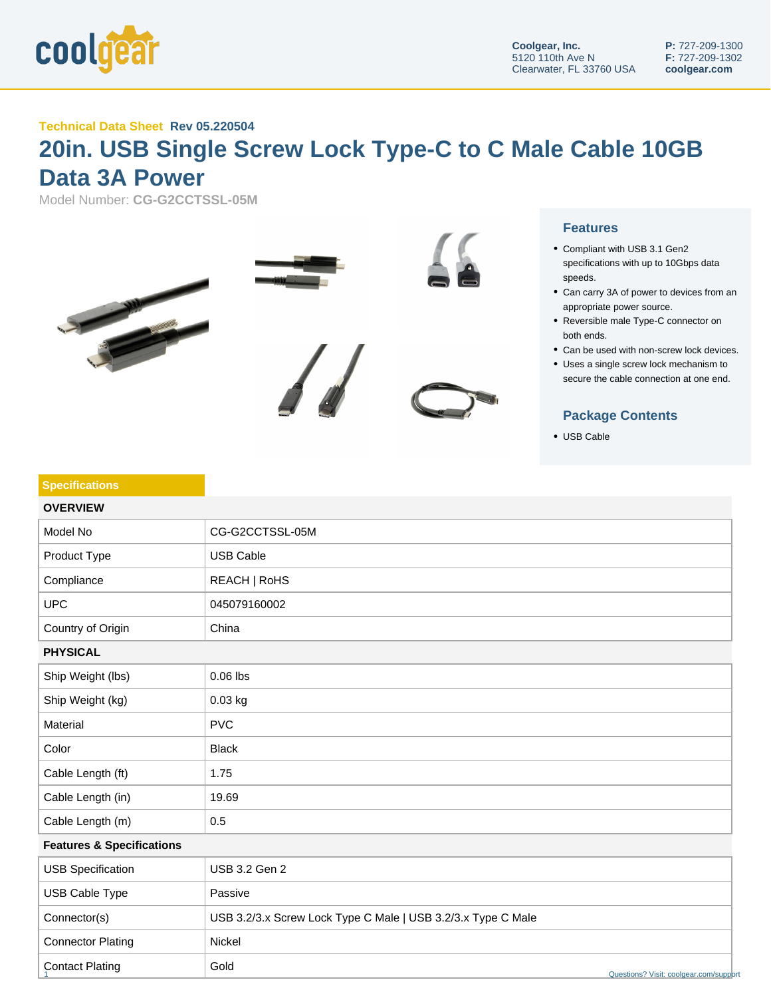

## **Technical Data Sheet Rev 05.220504**

## **20in. USB Single Screw Lock Type-C to C Male Cable 10GB Data 3A Power**

Model Number: **CG-G2CCTSSL-05M**





- Compliant with USB 3.1 Gen2 specifications with up to 10Gbps data speeds.
- Can carry 3A of power to devices from an appropriate power source.
- Reversible male Type-C connector on both ends.
- Can be used with non-screw lock devices.
- Uses a single screw lock mechanism to secure the cable connection at one end.

## **Package Contents**

USB Cable

| <b>Specifications</b>                |                                                              |  |
|--------------------------------------|--------------------------------------------------------------|--|
| <b>OVERVIEW</b>                      |                                                              |  |
| Model No                             | CG-G2CCTSSL-05M                                              |  |
| Product Type                         | <b>USB Cable</b>                                             |  |
| Compliance                           | REACH   RoHS                                                 |  |
| <b>UPC</b>                           | 045079160002                                                 |  |
| Country of Origin                    | China                                                        |  |
| <b>PHYSICAL</b>                      |                                                              |  |
| Ship Weight (lbs)                    | $0.06$ lbs                                                   |  |
| Ship Weight (kg)                     | 0.03 kg                                                      |  |
| Material                             | <b>PVC</b>                                                   |  |
| Color                                | <b>Black</b>                                                 |  |
| Cable Length (ft)                    | 1.75                                                         |  |
| Cable Length (in)                    | 19.69                                                        |  |
| Cable Length (m)                     | 0.5                                                          |  |
| <b>Features &amp; Specifications</b> |                                                              |  |
| <b>USB Specification</b>             | <b>USB 3.2 Gen 2</b>                                         |  |
| USB Cable Type                       | Passive                                                      |  |
| Connector(s)                         | USB 3.2/3.x Screw Lock Type C Male   USB 3.2/3.x Type C Male |  |
| <b>Connector Plating</b>             | Nickel                                                       |  |
| <b>Contact Plating</b>               | Gold<br>Questions? Visit: coolgear.com/support               |  |